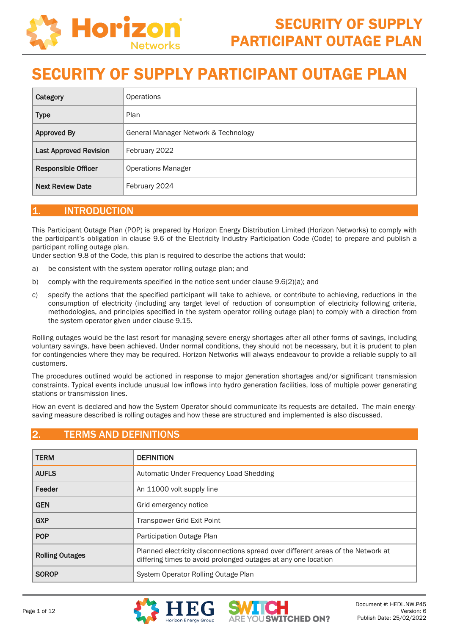

| Category                      | <b>Operations</b>                    |
|-------------------------------|--------------------------------------|
| <b>Type</b>                   | Plan                                 |
| <b>Approved By</b>            | General Manager Network & Technology |
| <b>Last Approved Revision</b> | February 2022                        |
| <b>Responsible Officer</b>    | <b>Operations Manager</b>            |
| <b>Next Review Date</b>       | February 2024                        |

### 1. INTRODUCTION

This Participant Outage Plan (POP) is prepared by Horizon Energy Distribution Limited (Horizon Networks) to comply with the participant's obligation in clause 9.6 of the Electricity Industry Participation Code (Code) to prepare and publish a participant rolling outage plan.

Under section 9.8 of the Code, this plan is required to describe the actions that would:

- a) be consistent with the system operator rolling outage plan; and
- b) comply with the requirements specified in the notice sent under clause 9.6(2)(a); and
- c) specify the actions that the specified participant will take to achieve, or contribute to achieving, reductions in the consumption of electricity (including any target level of reduction of consumption of electricity following criteria, methodologies, and principles specified in the system operator rolling outage plan) to comply with a direction from the system operator given under clause 9.15.

Rolling outages would be the last resort for managing severe energy shortages after all other forms of savings, including voluntary savings, have been achieved. Under normal conditions, they should not be necessary, but it is prudent to plan for contingencies where they may be required. Horizon Networks will always endeavour to provide a reliable supply to all customers.

The procedures outlined would be actioned in response to major generation shortages and/or significant transmission constraints. Typical events include unusual low inflows into hydro generation facilities, loss of multiple power generating stations or transmission lines.

How an event is declared and how the System Operator should communicate its requests are detailed. The main energysaving measure described is rolling outages and how these are structured and implemented is also discussed.

## **TERMS AND DEFINITIONS**

| <b>TERM</b>            | <b>DEFINITION</b>                                                                                                                                  |
|------------------------|----------------------------------------------------------------------------------------------------------------------------------------------------|
| <b>AUFLS</b>           | Automatic Under Frequency Load Shedding                                                                                                            |
| Feeder                 | An 11000 volt supply line                                                                                                                          |
| <b>GEN</b>             | Grid emergency notice                                                                                                                              |
| <b>GXP</b>             | Transpower Grid Exit Point                                                                                                                         |
| <b>POP</b>             | Participation Outage Plan                                                                                                                          |
| <b>Rolling Outages</b> | Planned electricity disconnections spread over different areas of the Network at<br>differing times to avoid prolonged outages at any one location |
| <b>SOROP</b>           | System Operator Rolling Outage Plan                                                                                                                |



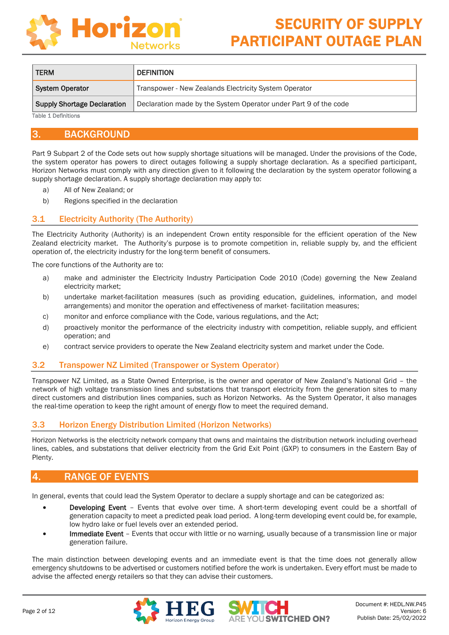

| <b>TERM</b>                        | <b>DEFINITION</b>                                                |
|------------------------------------|------------------------------------------------------------------|
| <b>System Operator</b>             | Transpower - New Zealands Electricity System Operator            |
| <b>Supply Shortage Declaration</b> | Declaration made by the System Operator under Part 9 of the code |

Table 1 Definitions

### 3. BACKGROUND

Part 9 Subpart 2 of the Code sets out how supply shortage situations will be managed. Under the provisions of the Code, the system operator has powers to direct outages following a supply shortage declaration. As a specified participant, Horizon Networks must comply with any direction given to it following the declaration by the system operator following a supply shortage declaration. A supply shortage declaration may apply to:

- a) All of New Zealand; or
- b) Regions specified in the declaration

#### 3.1 Electricity Authority (The Authority)

The Electricity Authority (Authority) is an independent Crown entity responsible for the efficient operation of the New Zealand electricity market. The Authority's purpose is to promote competition in, reliable supply by, and the efficient operation of, the electricity industry for the long-term benefit of consumers.

The core functions of the Authority are to:

- a) make and administer the Electricity Industry Participation Code 2010 (Code) governing the New Zealand electricity market;
- b) undertake market-facilitation measures (such as providing education, guidelines, information, and model arrangements) and monitor the operation and effectiveness of market- facilitation measures;
- c) monitor and enforce compliance with the Code, various regulations, and the Act;
- d) proactively monitor the performance of the electricity industry with competition, reliable supply, and efficient operation; and
- e) contract service providers to operate the New Zealand electricity system and market under the Code.

#### 3.2 Transpower NZ Limited (Transpower or System Operator)

Transpower NZ Limited, as a State Owned Enterprise, is the owner and operator of New Zealand's National Grid – the network of high voltage transmission lines and substations that transport electricity from the generation sites to many direct customers and distribution lines companies, such as Horizon Networks. As the System Operator, it also manages the real-time operation to keep the right amount of energy flow to meet the required demand.

#### 3.3 Horizon Energy Distribution Limited (Horizon Networks)

Horizon Networks is the electricity network company that owns and maintains the distribution network including overhead lines, cables, and substations that deliver electricity from the Grid Exit Point (GXP) to consumers in the Eastern Bay of Plenty.

### RANGE OF EVENTS

In general, events that could lead the System Operator to declare a supply shortage and can be categorized as:

- Developing Event Events that evolve over time. A short-term developing event could be a shortfall of generation capacity to meet a predicted peak load period. A long-term developing event could be, for example, low hydro lake or fuel levels over an extended period.
- Immediate Event Events that occur with little or no warning, usually because of a transmission line or major generation failure.

The main distinction between developing events and an immediate event is that the time does not generally allow emergency shutdowns to be advertised or customers notified before the work is undertaken. Every effort must be made to advise the affected energy retailers so that they can advise their customers.

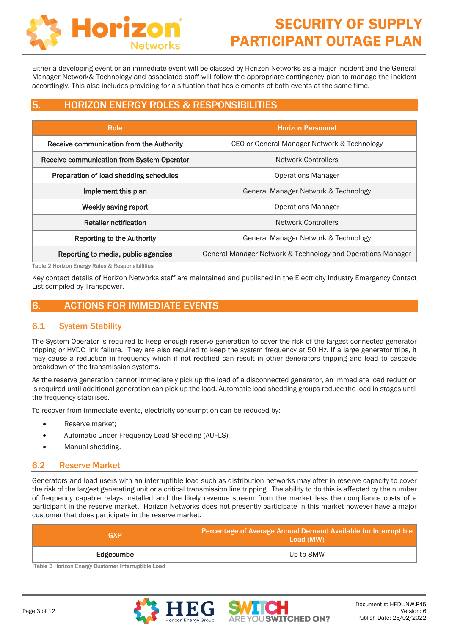

Either a developing event or an immediate event will be classed by Horizon Networks as a major incident and the General Manager Network& Technology and associated staff will follow the appropriate contingency plan to manage the incident accordingly. This also includes providing for a situation that has elements of both events at the same time.

# 5. HORIZON ENERGY ROLES & RESPONSIBILITIES

| <b>Role</b>                                | <b>Horizon Personnel</b>                                    |  |
|--------------------------------------------|-------------------------------------------------------------|--|
| Receive communication from the Authority   | CEO or General Manager Network & Technology                 |  |
| Receive communication from System Operator | Network Controllers                                         |  |
| Preparation of load shedding schedules     | <b>Operations Manager</b>                                   |  |
| Implement this plan                        | General Manager Network & Technology                        |  |
| Weekly saving report                       | <b>Operations Manager</b>                                   |  |
| Retailer notification                      | <b>Network Controllers</b>                                  |  |
| <b>Reporting to the Authority</b>          | General Manager Network & Technology                        |  |
| Reporting to media, public agencies        | General Manager Network & Technology and Operations Manager |  |

Table 2 Horizon Energy Roles & Responsibilities

Key contact details of Horizon Networks staff are maintained and published in the Electricity Industry Emergency Contact List compiled by Transpower.

## 6. ACTIONS FOR IMMEDIATE EVENTS

### 6.1 System Stability

The System Operator is required to keep enough reserve generation to cover the risk of the largest connected generator tripping or HVDC link failure. They are also required to keep the system frequency at 50 Hz. If a large generator trips, it may cause a reduction in frequency which if not rectified can result in other generators tripping and lead to cascade breakdown of the transmission systems.

As the reserve generation cannot immediately pick up the load of a disconnected generator, an immediate load reduction is required until additional generation can pick up the load. Automatic load shedding groups reduce the load in stages until the frequency stabilises.

To recover from immediate events, electricity consumption can be reduced by:

- Reserve market;
- Automatic Under Frequency Load Shedding (AUFLS);
- Manual shedding.

#### 6.2 Reserve Market

Generators and load users with an interruptible load such as distribution networks may offer in reserve capacity to cover the risk of the largest generating unit or a critical transmission line tripping. The ability to do this is affected by the number of frequency capable relays installed and the likely revenue stream from the market less the compliance costs of a participant in the reserve market. Horizon Networks does not presently participate in this market however have a major customer that does participate in the reserve market.

| GXP       | Percentage of Average Annual Demand Available for Interruptible<br>Load (MW) |  |  |
|-----------|------------------------------------------------------------------------------|--|--|
| Edgecumbe | Up tp 8MW                                                                    |  |  |

Table 3 Horizon Energy Customer Interruptible Load



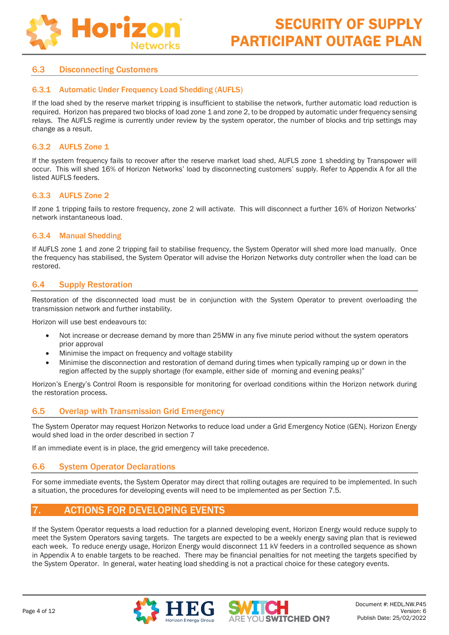

#### 6.3 Disconnecting Customers

#### 6.3.1 Automatic Under Frequency Load Shedding (AUFLS)

If the load shed by the reserve market tripping is insufficient to stabilise the network, further automatic load reduction is required. Horizon has prepared two blocks of load zone 1 and zone 2, to be dropped by automatic under frequency sensing relays. The AUFLS regime is currently under review by the system operator, the number of blocks and trip settings may change as a result.

#### 6.3.2 AUFLS Zone 1

If the system frequency fails to recover after the reserve market load shed, AUFLS zone 1 shedding by Transpower will occur. This will shed 16% of Horizon Networks' load by disconnecting customers' supply. Refer to Appendix A for all the listed AUFLS feeders.

#### 6.3.3 AUFLS Zone 2

If zone 1 tripping fails to restore frequency, zone 2 will activate. This will disconnect a further 16% of Horizon Networks' network instantaneous load.

#### 6.3.4 Manual Shedding

If AUFLS zone 1 and zone 2 tripping fail to stabilise frequency, the System Operator will shed more load manually. Once the frequency has stabilised, the System Operator will advise the Horizon Networks duty controller when the load can be restored.

#### 6.4 Supply Restoration

Restoration of the disconnected load must be in conjunction with the System Operator to prevent overloading the transmission network and further instability.

Horizon will use best endeavours to:

- Not increase or decrease demand by more than 25MW in any five minute period without the system operators prior approval
- Minimise the impact on frequency and voltage stability
- Minimise the disconnection and restoration of demand during times when typically ramping up or down in the region affected by the supply shortage (for example, either side of morning and evening peaks)"

Horizon's Energy's Control Room is responsible for monitoring for overload conditions within the Horizon network during the restoration process.

#### 6.5 Overlap with Transmission Grid Emergency

The System Operator may request Horizon Networks to reduce load under a Grid Emergency Notice (GEN). Horizon Energy would shed load in the order described in section [7](#page-3-0)

If an immediate event is in place, the grid emergency will take precedence.

#### 6.6 System Operator Declarations

For some immediate events, the System Operator may direct that rolling outages are required to be implemented. In such a situation, the procedures for developing events will need to be implemented as per Section 7.5.

## <span id="page-3-0"></span>7. ACTIONS FOR DEVELOPING EVENTS

If the System Operator requests a load reduction for a planned developing event, Horizon Energy would reduce supply to meet the System Operators saving targets. The targets are expected to be a weekly energy saving plan that is reviewed each week. To reduce energy usage, Horizon Energy would disconnect 11 kV feeders in a controlled sequence as shown in Appendix A to enable targets to be reached. There may be financial penalties for not meeting the targets specified by the System Operator. In general, water heating load shedding is not a practical choice for these category events.



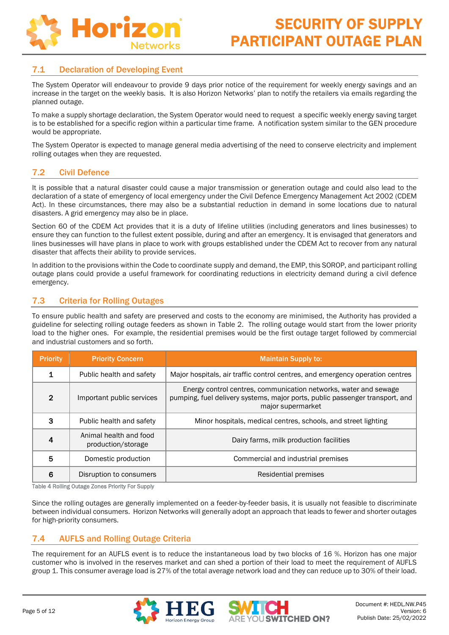

#### 7.1 Declaration of Developing Event

The System Operator will endeavour to provide 9 days prior notice of the requirement for weekly energy savings and an increase in the target on the weekly basis. It is also Horizon Networks' plan to notify the retailers via emails regarding the planned outage.

To make a supply shortage declaration, the System Operator would need to request a specific weekly energy saving target is to be established for a specific region within a particular time frame. A notification system similar to the GEN procedure would be appropriate.

The System Operator is expected to manage general media advertising of the need to conserve electricity and implement rolling outages when they are requested.

#### 7.2 Civil Defence

It is possible that a natural disaster could cause a major transmission or generation outage and could also lead to the declaration of a state of emergency of local emergency under the Civil Defence Emergency Management Act 2002 (CDEM Act). In these circumstances, there may also be a substantial reduction in demand in some locations due to natural disasters. A grid emergency may also be in place.

Section 60 of the CDEM Act provides that it is a duty of lifeline utilities (including generators and lines businesses) to ensure they can function to the fullest extent possible, during and after an emergency. It is envisaged that generators and lines businesses will have plans in place to work with groups established under the CDEM Act to recover from any natural disaster that affects their ability to provide services.

In addition to the provisions within the Code to coordinate supply and demand, the EMP, this SOROP, and participant rolling outage plans could provide a useful framework for coordinating reductions in electricity demand during a civil defence emergency.

#### 7.3 Criteria for Rolling Outages

To ensure public health and safety are preserved and costs to the economy are minimised, the Authority has provided a guideline for selecting rolling outage feeders as shown in Table 2. The rolling outage would start from the lower priority load to the higher ones. For example, the residential premises would be the first outage target followed by commercial and industrial customers and so forth.

| <b>Priority</b> | <b>Priority Concern</b>                      | <b>Maintain Supply to:</b>                                                                                                                                            |  |  |
|-----------------|----------------------------------------------|-----------------------------------------------------------------------------------------------------------------------------------------------------------------------|--|--|
|                 | Public health and safety                     | Major hospitals, air traffic control centres, and emergency operation centres                                                                                         |  |  |
| $\mathfrak{D}$  | Important public services                    | Energy control centres, communication networks, water and sewage<br>pumping, fuel delivery systems, major ports, public passenger transport, and<br>major supermarket |  |  |
| 3               | Public health and safety                     | Minor hospitals, medical centres, schools, and street lighting                                                                                                        |  |  |
|                 | Animal health and food<br>production/storage | Dairy farms, milk production facilities                                                                                                                               |  |  |
| 5               | Domestic production                          | Commercial and industrial premises                                                                                                                                    |  |  |
| 6               | Disruption to consumers                      | Residential premises                                                                                                                                                  |  |  |

Table 4 Rolling Outage Zones Priority For Supply

Since the rolling outages are generally implemented on a feeder-by-feeder basis, it is usually not feasible to discriminate between individual consumers. Horizon Networks will generally adopt an approach that leads to fewer and shorter outages for high-priority consumers.

#### 7.4 AUFLS and Rolling Outage Criteria

The requirement for an AUFLS event is to reduce the instantaneous load by two blocks of 16 %. Horizon has one major customer who is involved in the reserves market and can shed a portion of their load to meet the requirement of AUFLS group 1. This consumer average load is 27% of the total average network load and they can reduce up to 30% of their load.



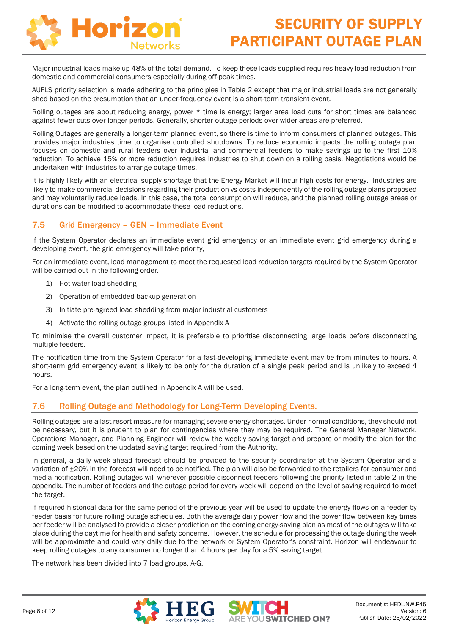

Major industrial loads make up 48% of the total demand. To keep these loads supplied requires heavy load reduction from domestic and commercial consumers especially during off-peak times.

AUFLS priority selection is made adhering to the principles in Table 2 except that major industrial loads are not generally shed based on the presumption that an under-frequency event is a short-term transient event.

Rolling outages are about reducing energy, power \* time is energy; larger area load cuts for short times are balanced against fewer cuts over longer periods. Generally, shorter outage periods over wider areas are preferred.

Rolling Outages are generally a longer-term planned event, so there is time to inform consumers of planned outages. This provides major industries time to organise controlled shutdowns. To reduce economic impacts the rolling outage plan focuses on domestic and rural feeders over industrial and commercial feeders to make savings up to the first 10% reduction. To achieve 15% or more reduction requires industries to shut down on a rolling basis. Negotiations would be undertaken with industries to arrange outage times.

It is highly likely with an electrical supply shortage that the Energy Market will incur high costs for energy. Industries are likely to make commercial decisions regarding their production vs costs independently of the rolling outage plans proposed and may voluntarily reduce loads. In this case, the total consumption will reduce, and the planned rolling outage areas or durations can be modified to accommodate these load reductions.

### 7.5 Grid Emergency – GEN – Immediate Event

If the System Operator declares an immediate event grid emergency or an immediate event grid emergency during a developing event, the grid emergency will take priority,

For an immediate event, load management to meet the requested load reduction targets required by the System Operator will be carried out in the following order.

- 1) Hot water load shedding
- 2) Operation of embedded backup generation
- 3) Initiate pre-agreed load shedding from major industrial customers
- 4) Activate the rolling outage groups listed in Appendix A

To minimise the overall customer impact, it is preferable to prioritise disconnecting large loads before disconnecting multiple feeders.

The notification time from the System Operator for a fast-developing immediate event may be from minutes to hours. A short-term grid emergency event is likely to be only for the duration of a single peak period and is unlikely to exceed 4 hours.

For a long-term event, the plan outlined in Appendix A will be used.

### 7.6 Rolling Outage and Methodology for Long-Term Developing Events.

Rolling outages are a last resort measure for managing severe energy shortages. Under normal conditions, they should not be necessary, but it is prudent to plan for contingencies where they may be required. The General Manager Network, Operations Manager, and Planning Engineer will review the weekly saving target and prepare or modify the plan for the coming week based on the updated saving target required from the Authority.

In general, a daily week-ahead forecast should be provided to the security coordinator at the System Operator and a variation of  $\pm 20\%$  in the forecast will need to be notified. The plan will also be forwarded to the retailers for consumer and media notification. Rolling outages will wherever possible disconnect feeders following the priority listed in table 2 in the appendix. The number of feeders and the outage period for every week will depend on the level of saving required to meet the target.

If required historical data for the same period of the previous year will be used to update the energy flows on a feeder by feeder basis for future rolling outage schedules. Both the average daily power flow and the power flow between key times per feeder will be analysed to provide a closer prediction on the coming energy-saving plan as most of the outages will take place during the daytime for health and safety concerns. However, the schedule for processing the outage during the week will be approximate and could vary daily due to the network or System Operator's constraint. Horizon will endeavour to keep rolling outages to any consumer no longer than 4 hours per day for a 5% saving target.

The network has been divided into 7 load groups, A-G.



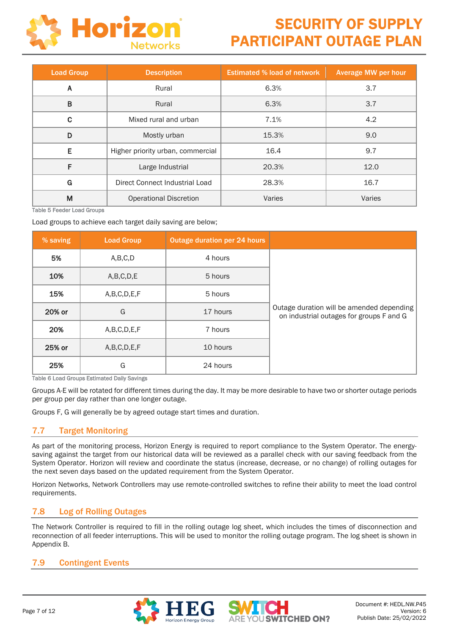

| <b>Load Group</b>                      | <b>Description</b>            | <b>Estimated % load of network</b> | <b>Average MW per hour</b> |  |
|----------------------------------------|-------------------------------|------------------------------------|----------------------------|--|
| A                                      | Rural                         | 6.3%                               | 3.7                        |  |
| B                                      | Rural                         | 6.3%                               | 3.7                        |  |
| C.                                     | Mixed rural and urban         | 7.1%                               | 4.2                        |  |
| D                                      | Mostly urban                  | 15.3%                              | 9.0                        |  |
| E<br>Higher priority urban, commercial |                               | 16.4                               | 9.7                        |  |
| F                                      | Large Industrial              | 20.3%                              | 12.0                       |  |
| G<br>Direct Connect Industrial Load    |                               | 28.3%                              | 16.7                       |  |
| M                                      | <b>Operational Discretion</b> | Varies                             | Varies                     |  |

Table 5 Feeder Load Groups

Load groups to achieve each target daily saving are below;

| % saving | <b>Load Group</b> | Outage duration per 24 hours |                                                                                       |
|----------|-------------------|------------------------------|---------------------------------------------------------------------------------------|
| 5%       | A,B,C,D           | 4 hours                      |                                                                                       |
| 10%      | A, B, C, D, E     | 5 hours                      |                                                                                       |
| 15%      | A,B,C,D,E,F       | 5 hours                      |                                                                                       |
| 20% or   | G                 | 17 hours                     | Outage duration will be amended depending<br>on industrial outages for groups F and G |
| 20%      | A, B, C, D, E, F  | 7 hours                      |                                                                                       |
| 25% or   | A, B, C, D, E, F  | 10 hours                     |                                                                                       |
| 25%      | G                 | 24 hours                     |                                                                                       |

Table 6 Load Groups Estimated Daily Savings

Groups A-E will be rotated for different times during the day. It may be more desirable to have two or shorter outage periods per group per day rather than one longer outage.

Groups F, G will generally be by agreed outage start times and duration.

### 7.7 Target Monitoring

As part of the monitoring process, Horizon Energy is required to report compliance to the System Operator. The energysaving against the target from our historical data will be reviewed as a parallel check with our saving feedback from the System Operator. Horizon will review and coordinate the status (increase, decrease, or no change) of rolling outages for the next seven days based on the updated requirement from the System Operator.

Horizon Networks, Network Controllers may use remote-controlled switches to refine their ability to meet the load control requirements.

#### 7.8 Log of Rolling Outages

The Network Controller is required to fill in the rolling outage log sheet, which includes the times of disconnection and reconnection of all feeder interruptions. This will be used to monitor the rolling outage program. The log sheet is shown in Appendix B.

### 7.9 Contingent Events



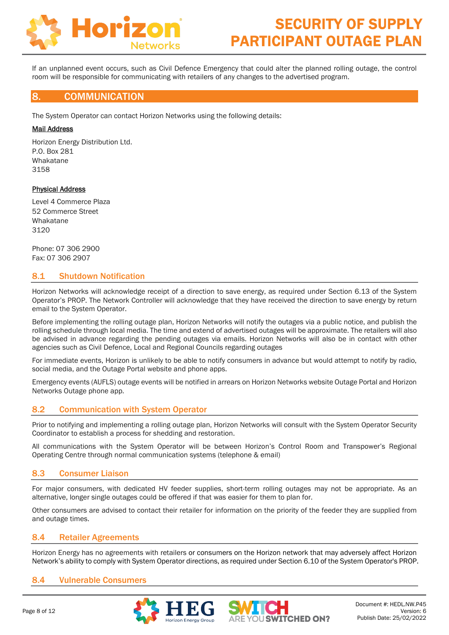

If an unplanned event occurs, such as Civil Defence Emergency that could alter the planned rolling outage, the control room will be responsible for communicating with retailers of any changes to the advertised program.

#### 8. COMMUNICATION

The System Operator can contact Horizon Networks using the following details:

#### Mail Address

Horizon Energy Distribution Ltd. P.O. Box 281 Whakatane 3158

#### Physical Address

Level 4 Commerce Plaza 52 Commerce Street Whakatane 3120

Phone: 07 306 2900 Fax: 07 306 2907

#### 8.1 Shutdown Notification

Horizon Networks will acknowledge receipt of a direction to save energy, as required under Section 6.13 of the System Operator's PROP. The Network Controller will acknowledge that they have received the direction to save energy by return email to the System Operator.

Before implementing the rolling outage plan, Horizon Networks will notify the outages via a public notice, and publish the rolling schedule through local media. The time and extend of advertised outages will be approximate. The retailers will also be advised in advance regarding the pending outages via emails. Horizon Networks will also be in contact with other agencies such as Civil Defence, Local and Regional Councils regarding outages

For immediate events, Horizon is unlikely to be able to notify consumers in advance but would attempt to notify by radio, social media, and the Outage Portal website and phone apps.

Emergency events (AUFLS) outage events will be notified in arrears on Horizon Networks website Outage Portal and Horizon Networks Outage phone app.

### 8.2 Communication with System Operator

Prior to notifying and implementing a rolling outage plan, Horizon Networks will consult with the System Operator Security Coordinator to establish a process for shedding and restoration.

All communications with the System Operator will be between Horizon's Control Room and Transpower's Regional Operating Centre through normal communication systems (telephone & email)

#### 8.3 Consumer Liaison

For major consumers, with dedicated HV feeder supplies, short-term rolling outages may not be appropriate. As an alternative, longer single outages could be offered if that was easier for them to plan for.

Other consumers are advised to contact their retailer for information on the priority of the feeder they are supplied from and outage times.

#### 8.4 Retailer Agreements

Horizon Energy has no agreements with retailers or consumers on the Horizon network that may adversely affect Horizon Network's ability to comply with System Operator directions, as required under Section 6.10 of the System Operator's PROP.

#### 8.4 Vulnerable Consumers

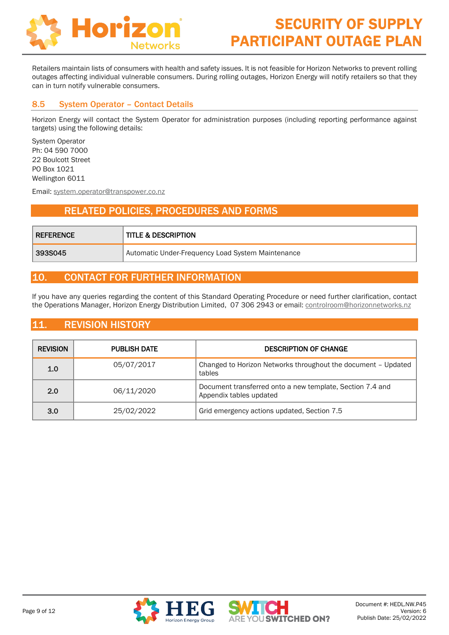

Retailers maintain lists of consumers with health and safety issues. It is not feasible for Horizon Networks to prevent rolling outages affecting individual vulnerable consumers. During rolling outages, Horizon Energy will notify retailers so that they can in turn notify vulnerable consumers.

#### 8.5 System Operator – Contact Details

Horizon Energy will contact the System Operator for administration purposes (including reporting performance against targets) using the following details:

System Operator Ph: 04 590 7000 22 Boulcott Street PO Box 1021 Wellington 6011

Email: [system.operator@transpower.co.nz](mailto:system.operator@transpower.co.nz)

## *9.* RELATED POLICIES, PROCEDURES AND FORMS

| <b>REFERENCE</b> | <b>TITLE &amp; DESCRIPTION</b>                    |
|------------------|---------------------------------------------------|
| 393S045          | Automatic Under-Frequency Load System Maintenance |

## 10. CONTACT FOR FURTHER INFORMATION

If you have any queries regarding the content of this Standard Operating Procedure or need further clarification, contact the Operations Manager, Horizon Energy Distribution Limited, 07 306 2943 or email: [controlroom@horizonnetworks.nz](mailto:controlroom@horizonnetworks.nz)

## 11. REVISION HISTORY

| <b>REVISION</b> | <b>PUBLISH DATE</b> | <b>DESCRIPTION OF CHANGE</b>                                                         |  |  |
|-----------------|---------------------|--------------------------------------------------------------------------------------|--|--|
| 1.0             | 05/07/2017          | Changed to Horizon Networks throughout the document - Updated<br>tables              |  |  |
| 2.0             | 06/11/2020          | Document transferred onto a new template, Section 7.4 and<br>Appendix tables updated |  |  |
| 3.0             | 25/02/2022          | Grid emergency actions updated, Section 7.5                                          |  |  |



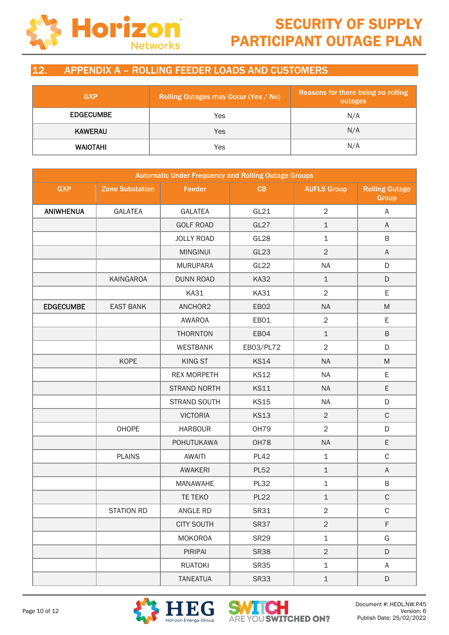

## 12. APPENDIX A – ROLLING FEEDER LOADS AND CUSTOMERS

| <b>GXP</b>       | Rolling Outages may Occur (Yes / No) | Reasons for there being no rolling<br>outages |  |
|------------------|--------------------------------------|-----------------------------------------------|--|
| <b>EDGECUMBE</b> | Yes                                  | N/A                                           |  |
| <b>KAWERAU</b>   | Yes                                  | N/A                                           |  |
| <b>WAIOTAHI</b>  | Yes                                  | N/A                                           |  |

|                  | <b>Automatic Under Frequency and Rolling Outage Groups</b> |                     |             |                    |                                       |  |
|------------------|------------------------------------------------------------|---------------------|-------------|--------------------|---------------------------------------|--|
| <b>GXP</b>       | <b>Zone Substation</b>                                     | Feeder              | CB          | <b>AUFLS Group</b> | <b>Rolling Outage</b><br><b>Group</b> |  |
| <b>ANIWHENUA</b> | <b>GALATEA</b>                                             | <b>GALATEA</b>      | GL21        | $\overline{2}$     | $\mathsf A$                           |  |
|                  |                                                            | <b>GOLF ROAD</b>    | GL27        | $\mathbf 1$        | A                                     |  |
|                  |                                                            | <b>JOLLY ROAD</b>   | GL28        | $\mathbf 1$        | B                                     |  |
|                  |                                                            | <b>MINGINUI</b>     | GL23        | $\overline{2}$     | $\mathsf A$                           |  |
|                  |                                                            | <b>MURUPARA</b>     | GL22        | <b>NA</b>          | D                                     |  |
|                  | KAINGAROA                                                  | <b>DUNN ROAD</b>    | <b>KA32</b> | $\mathbf 1$        | D                                     |  |
|                  |                                                            | <b>KA31</b>         | <b>KA31</b> | $\overline{2}$     | E                                     |  |
| <b>EDGECUMBE</b> | <b>EAST BANK</b>                                           | ANCHOR2             | EB02        | <b>NA</b>          | M                                     |  |
|                  |                                                            | AWAROA              | EB01        | $\overline{2}$     | E                                     |  |
|                  |                                                            | <b>THORNTON</b>     | EB04        | $\mathbf 1$        | B                                     |  |
|                  |                                                            | <b>WESTBANK</b>     | EB03/PL72   | $\overline{2}$     | D                                     |  |
|                  | <b>KOPE</b>                                                | <b>KING ST</b>      | <b>KS14</b> | <b>NA</b>          | M                                     |  |
|                  |                                                            | <b>REX MORPETH</b>  | <b>KS12</b> | <b>NA</b>          | E                                     |  |
|                  |                                                            | <b>STRAND NORTH</b> | <b>KS11</b> | <b>NA</b>          | E                                     |  |
|                  |                                                            | STRAND SOUTH        | <b>KS15</b> | <b>NA</b>          | D                                     |  |
|                  |                                                            | <b>VICTORIA</b>     | <b>KS13</b> | $\overline{2}$     | $\mathsf C$                           |  |
|                  | OHOPE                                                      | <b>HARBOUR</b>      | <b>OH79</b> | $\overline{2}$     | D                                     |  |
|                  |                                                            | <b>POHUTUKAWA</b>   | OH78        | <b>NA</b>          | E                                     |  |
|                  | <b>PLAINS</b>                                              | <b>AWAITI</b>       | <b>PL42</b> | $\mathbf 1$        | $\mathsf C$                           |  |
|                  |                                                            | <b>AWAKERI</b>      | <b>PL52</b> | $\mathbf 1$        | A                                     |  |
|                  |                                                            | <b>MANAWAHE</b>     | <b>PL32</b> | $\mathbf 1$        | B                                     |  |
|                  |                                                            | TE TEKO             | <b>PL22</b> | $\mathbf 1$        | $\mathsf C$                           |  |
|                  | STATION RD                                                 | ANGLE RD            | <b>SR31</b> | $\sqrt{2}$         | $\mathsf C$                           |  |
|                  |                                                            | <b>CITY SOUTH</b>   | <b>SR37</b> | $\overline{2}$     | F                                     |  |
|                  |                                                            | <b>MOKOROA</b>      | <b>SR29</b> | $\mathbf 1$        | G                                     |  |
|                  |                                                            | PIRIPAI             | <b>SR38</b> | $\overline{2}$     | D                                     |  |
|                  |                                                            | <b>RUATOKI</b>      | <b>SR35</b> | $\mathbf 1$        | A                                     |  |
|                  |                                                            | <b>TANEATUA</b>     | <b>SR33</b> | $\mathbf{1}$       | D                                     |  |



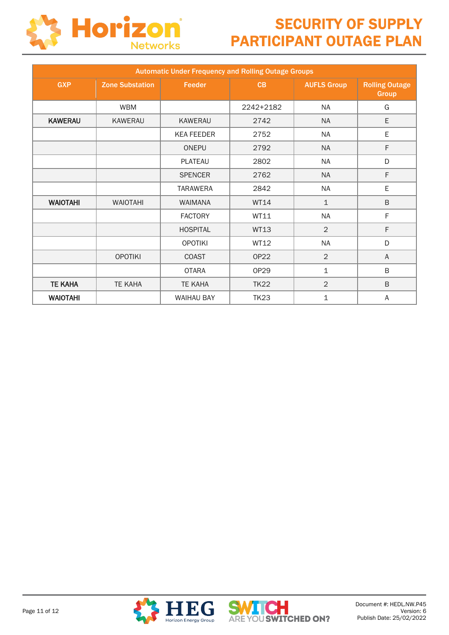

| <b>Automatic Under Frequency and Rolling Outage Groups</b> |                        |                   |             |                    |                                |  |  |  |  |  |
|------------------------------------------------------------|------------------------|-------------------|-------------|--------------------|--------------------------------|--|--|--|--|--|
| <b>GXP</b>                                                 | <b>Zone Substation</b> | Feeder            | CB          | <b>AUFLS Group</b> | <b>Rolling Outage</b><br>Group |  |  |  |  |  |
|                                                            | <b>WBM</b>             |                   | 2242+2182   | <b>NA</b>          | G                              |  |  |  |  |  |
| <b>KAWERAU</b>                                             | KAWERAU                | KAWERAU           | 2742        | <b>NA</b>          | E                              |  |  |  |  |  |
|                                                            |                        | <b>KEA FEEDER</b> | 2752        | <b>NA</b>          | E                              |  |  |  |  |  |
|                                                            |                        | <b>ONEPU</b>      | 2792        | <b>NA</b>          | F                              |  |  |  |  |  |
|                                                            |                        | <b>PLATEAU</b>    | 2802        | <b>NA</b>          | D                              |  |  |  |  |  |
|                                                            |                        | <b>SPENCER</b>    | 2762        | <b>NA</b>          | F                              |  |  |  |  |  |
|                                                            |                        | <b>TARAWERA</b>   | 2842        | <b>NA</b>          | E                              |  |  |  |  |  |
| <b>WAIOTAHI</b>                                            | <b>WAIOTAHI</b>        | <b>WAIMANA</b>    | WT14        | $\mathbf{1}$       | $\sf B$                        |  |  |  |  |  |
|                                                            |                        | <b>FACTORY</b>    | WT11        | <b>NA</b>          | F                              |  |  |  |  |  |
|                                                            |                        | <b>HOSPITAL</b>   | <b>WT13</b> | $\overline{2}$     | F                              |  |  |  |  |  |
|                                                            |                        | <b>OPOTIKI</b>    | WT12        | <b>NA</b>          | D                              |  |  |  |  |  |
|                                                            | <b>OPOTIKI</b>         | <b>COAST</b>      | <b>OP22</b> | $\overline{2}$     | A                              |  |  |  |  |  |
|                                                            |                        | <b>OTARA</b>      | OP29        | $\mathbf 1$        | B                              |  |  |  |  |  |
| <b>TE KAHA</b>                                             | <b>TE KAHA</b>         | <b>TE KAHA</b>    | <b>TK22</b> | $\overline{2}$     | B                              |  |  |  |  |  |
| <b>WAIOTAHI</b>                                            |                        | <b>WAIHAU BAY</b> | <b>TK23</b> | $\mathbf 1$        | A                              |  |  |  |  |  |